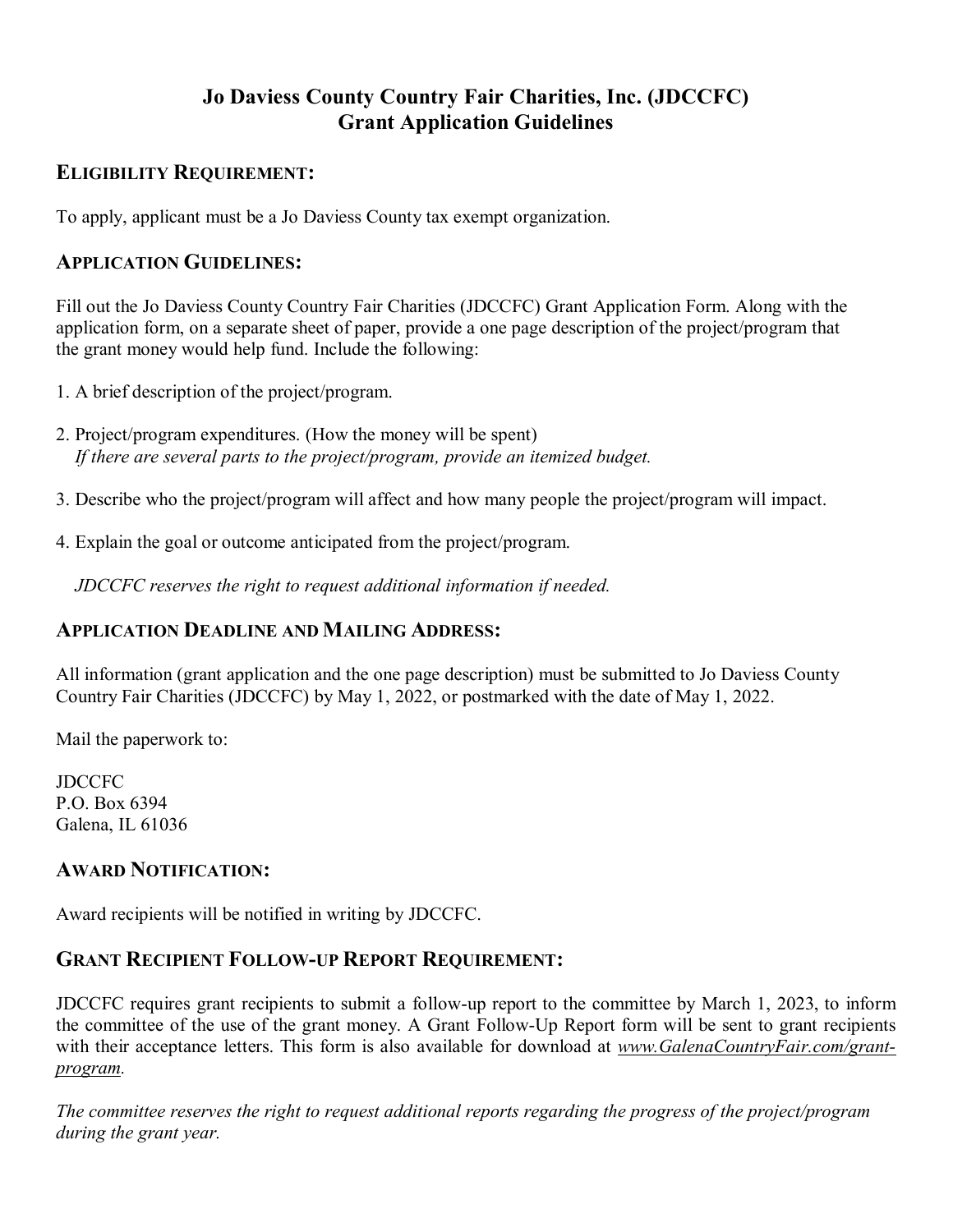# **Jo Daviess County Country Fair Charities, Inc. (JDCCFC) Grant Application Guidelines**

## **ELIGIBILITY REQUIREMENT:**

To apply, applicant must be a Jo Daviess County tax exempt organization.

## **APPLICATION GUIDELINES:**

Fill out the Jo Daviess County Country Fair Charities (JDCCFC) Grant Application Form. Along with the application form, on a separate sheet of paper, provide a one page description of the project/program that the grant money would help fund. Include the following:

- 1. A brief description of the project/program.
- 2. Project/program expenditures. (How the money will be spent)  *If there are several parts to the project/program, provide an itemized budget.*
- 3. Describe who the project/program will affect and how many people the project/program will impact.
- 4. Explain the goal or outcome anticipated from the project/program.

 *JDCCFC reserves the right to request additional information if needed.*

## **APPLICATION DEADLINE AND MAILING ADDRESS:**

All information (grant application and the one page description) must be submitted to Jo Daviess County Country Fair Charities (JDCCFC) by May 1, 2022, or postmarked with the date of May 1, 2022.

Mail the paperwork to:

**JDCCFC** P.O. Box 6394 Galena, IL 61036

## **AWARD NOTIFICATION:**

Award recipients will be notified in writing by JDCCFC.

### **GRANT RECIPIENT FOLLOW-UP REPORT REQUIREMENT:**

JDCCFC requires grant recipients to submit a follow-up report to the committee by March 1, 2023, to inform the committee of the use of the grant money. A Grant Follow-Up Report form will be sent to grant recipients with their acceptance letters. This form is also available for download at *[www.GalenaCountryFair.com/grant](http://www.galenacountryfair.com/grant-program)[program.](http://www.galenacountryfair.com/grant-program)*

*The committee reserves the right to request additional reports regarding the progress of the project/program during the grant year.*